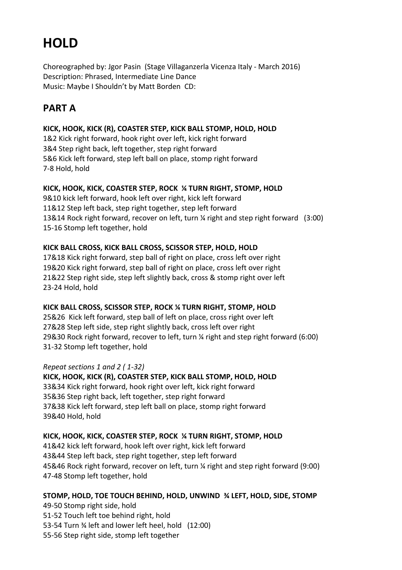# **HOLD**

Choreographed by: Jgor Pasin (Stage Villaganzerla Vicenza Italy - March 2016) Description: Phrased, Intermediate Line Dance Music: Maybe I Shouldn't by Matt Borden CD:

# **PART A**

#### **KICK, HOOK, KICK (R), COASTER STEP, KICK BALL STOMP, HOLD, HOLD**

1&2 Kick right forward, hook right over left, kick right forward 3&4 Step right back, left together, step right forward 5&6 Kick left forward, step left ball on place, stomp right forward 7-8 Hold, hold

#### **KICK, HOOK, KICK, COASTER STEP, ROCK ¼ TURN RIGHT, STOMP, HOLD**

9&10 kick left forward, hook left over right, kick left forward 11&12 Step left back, step right together, step left forward 13&14 Rock right forward, recover on left, turn ¼ right and step right forward (3:00) 15-16 Stomp left together, hold

# **KICK BALL CROSS, KICK BALL CROSS, SCISSOR STEP, HOLD, HOLD**

17&18 Kick right forward, step ball of right on place, cross left over right 19&20 Kick right forward, step ball of right on place, cross left over right 21&22 Step right side, step left slightly back, cross & stomp right over left 23-24 Hold, hold

# **KICK BALL CROSS, SCISSOR STEP, ROCK ¼ TURN RIGHT, STOMP, HOLD**

25&26 Kick left forward, step ball of left on place, cross right over left 27&28 Step left side, step right slightly back, cross left over right 29&30 Rock right forward, recover to left, turn ¼ right and step right forward (6:00) 31-32 Stomp left together, hold

# *Repeat sections 1 and 2 ( 1-32)*

**KICK, HOOK, KICK (R), COASTER STEP, KICK BALL STOMP, HOLD, HOLD**  33&34 Kick right forward, hook right over left, kick right forward 35&36 Step right back, left together, step right forward 37&38 Kick left forward, step left ball on place, stomp right forward 39&40 Hold, hold

# **KICK, HOOK, KICK, COASTER STEP, ROCK ¼ TURN RIGHT, STOMP, HOLD**

41&42 kick left forward, hook left over right, kick left forward 43&44 Step left back, step right together, step left forward 45&46 Rock right forward, recover on left, turn ¼ right and step right forward (9:00) 47-48 Stomp left together, hold

# **STOMP, HOLD, TOE TOUCH BEHIND, HOLD, UNWIND ¾ LEFT, HOLD, SIDE, STOMP**

49-50 Stomp right side, hold 51-52 Touch left toe behind right, hold 53-54 Turn ¾ left and lower left heel, hold (12:00) 55-56 Step right side, stomp left together